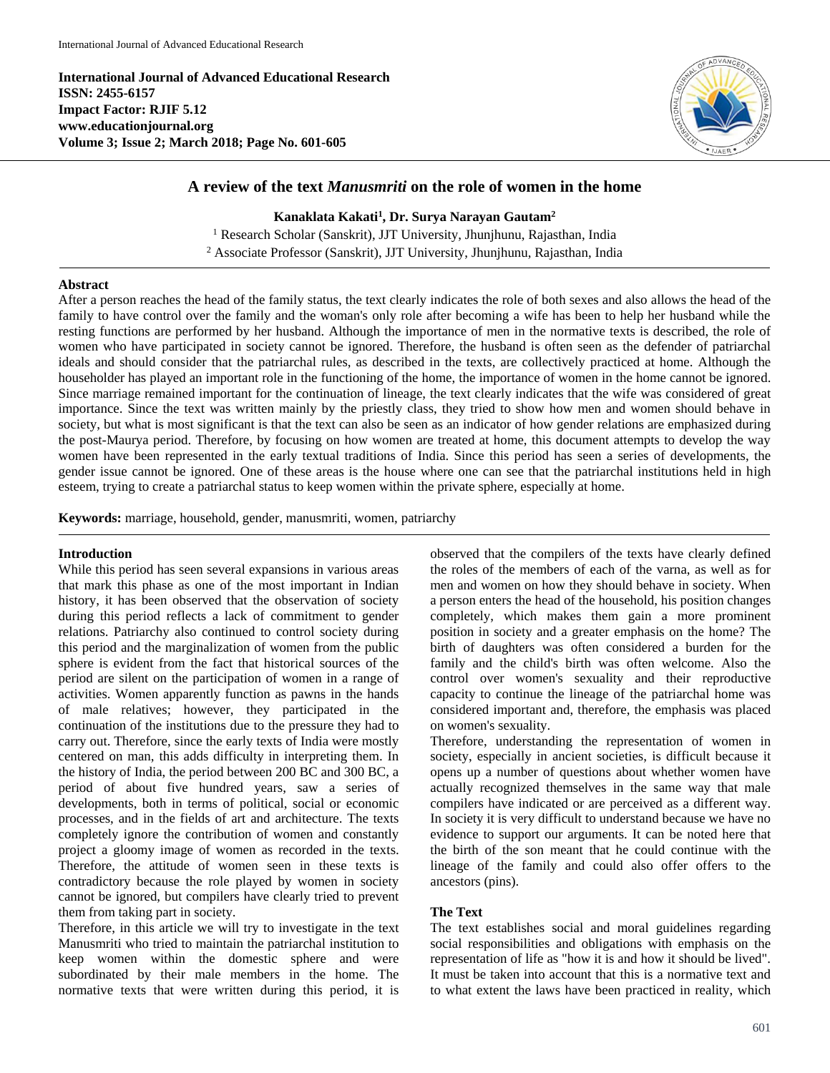**International Journal of Advanced Educational Research ISSN: 2455-6157 Impact Factor: RJIF 5.12 www.educationjournal.org Volume 3; Issue 2; March 2018; Page No. 601-605**



# **A review of the text** *Manusmriti* **on the role of women in the home**

**Kanaklata Kakati<sup>1</sup> , Dr. Surya Narayan Gautam<sup>2</sup>** <sup>1</sup> Research Scholar (Sanskrit), JJT University, Jhunjhunu, Rajasthan, India <sup>2</sup> Associate Professor (Sanskrit), JJT University, Jhunjhunu, Rajasthan, India

### **Abstract**

After a person reaches the head of the family status, the text clearly indicates the role of both sexes and also allows the head of the family to have control over the family and the woman's only role after becoming a wife has been to help her husband while the resting functions are performed by her husband. Although the importance of men in the normative texts is described, the role of women who have participated in society cannot be ignored. Therefore, the husband is often seen as the defender of patriarchal ideals and should consider that the patriarchal rules, as described in the texts, are collectively practiced at home. Although the householder has played an important role in the functioning of the home, the importance of women in the home cannot be ignored. Since marriage remained important for the continuation of lineage, the text clearly indicates that the wife was considered of great importance. Since the text was written mainly by the priestly class, they tried to show how men and women should behave in society, but what is most significant is that the text can also be seen as an indicator of how gender relations are emphasized during the post-Maurya period. Therefore, by focusing on how women are treated at home, this document attempts to develop the way women have been represented in the early textual traditions of India. Since this period has seen a series of developments, the gender issue cannot be ignored. One of these areas is the house where one can see that the patriarchal institutions held in high esteem, trying to create a patriarchal status to keep women within the private sphere, especially at home.

**Keywords:** marriage, household, gender, manusmriti, women, patriarchy

### **Introduction**

While this period has seen several expansions in various areas that mark this phase as one of the most important in Indian history, it has been observed that the observation of society during this period reflects a lack of commitment to gender relations. Patriarchy also continued to control society during this period and the marginalization of women from the public sphere is evident from the fact that historical sources of the period are silent on the participation of women in a range of activities. Women apparently function as pawns in the hands of male relatives; however, they participated in the continuation of the institutions due to the pressure they had to carry out. Therefore, since the early texts of India were mostly centered on man, this adds difficulty in interpreting them. In the history of India, the period between 200 BC and 300 BC, a period of about five hundred years, saw a series of developments, both in terms of political, social or economic processes, and in the fields of art and architecture. The texts completely ignore the contribution of women and constantly project a gloomy image of women as recorded in the texts. Therefore, the attitude of women seen in these texts is contradictory because the role played by women in society cannot be ignored, but compilers have clearly tried to prevent them from taking part in society.

Therefore, in this article we will try to investigate in the text Manusmriti who tried to maintain the patriarchal institution to keep women within the domestic sphere and were subordinated by their male members in the home. The normative texts that were written during this period, it is

observed that the compilers of the texts have clearly defined the roles of the members of each of the varna, as well as for men and women on how they should behave in society. When a person enters the head of the household, his position changes completely, which makes them gain a more prominent position in society and a greater emphasis on the home? The birth of daughters was often considered a burden for the family and the child's birth was often welcome. Also the control over women's sexuality and their reproductive capacity to continue the lineage of the patriarchal home was considered important and, therefore, the emphasis was placed on women's sexuality.

Therefore, understanding the representation of women in society, especially in ancient societies, is difficult because it opens up a number of questions about whether women have actually recognized themselves in the same way that male compilers have indicated or are perceived as a different way. In society it is very difficult to understand because we have no evidence to support our arguments. It can be noted here that the birth of the son meant that he could continue with the lineage of the family and could also offer offers to the ancestors (pins).

## **The Text**

The text establishes social and moral guidelines regarding social responsibilities and obligations with emphasis on the representation of life as "how it is and how it should be lived". It must be taken into account that this is a normative text and to what extent the laws have been practiced in reality, which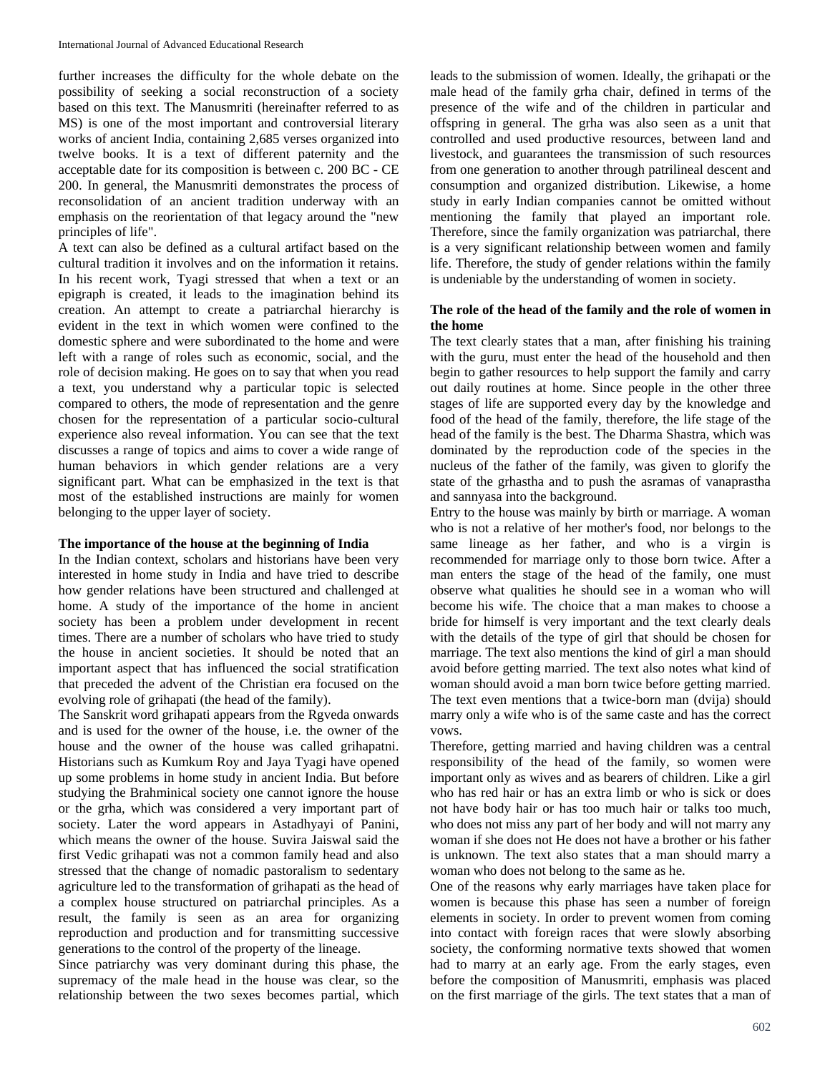further increases the difficulty for the whole debate on the possibility of seeking a social reconstruction of a society based on this text. The Manusmriti (hereinafter referred to as MS) is one of the most important and controversial literary works of ancient India, containing 2,685 verses organized into twelve books. It is a text of different paternity and the acceptable date for its composition is between c. 200 BC - CE 200. In general, the Manusmriti demonstrates the process of reconsolidation of an ancient tradition underway with an emphasis on the reorientation of that legacy around the "new principles of life".

A text can also be defined as a cultural artifact based on the cultural tradition it involves and on the information it retains. In his recent work, Tyagi stressed that when a text or an epigraph is created, it leads to the imagination behind its creation. An attempt to create a patriarchal hierarchy is evident in the text in which women were confined to the domestic sphere and were subordinated to the home and were left with a range of roles such as economic, social, and the role of decision making. He goes on to say that when you read a text, you understand why a particular topic is selected compared to others, the mode of representation and the genre chosen for the representation of a particular socio-cultural experience also reveal information. You can see that the text discusses a range of topics and aims to cover a wide range of human behaviors in which gender relations are a very significant part. What can be emphasized in the text is that most of the established instructions are mainly for women belonging to the upper layer of society.

## **The importance of the house at the beginning of India**

In the Indian context, scholars and historians have been very interested in home study in India and have tried to describe how gender relations have been structured and challenged at home. A study of the importance of the home in ancient society has been a problem under development in recent times. There are a number of scholars who have tried to study the house in ancient societies. It should be noted that an important aspect that has influenced the social stratification that preceded the advent of the Christian era focused on the evolving role of grihapati (the head of the family).

The Sanskrit word grihapati appears from the Rgveda onwards and is used for the owner of the house, i.e. the owner of the house and the owner of the house was called grihapatni. Historians such as Kumkum Roy and Jaya Tyagi have opened up some problems in home study in ancient India. But before studying the Brahminical society one cannot ignore the house or the grha, which was considered a very important part of society. Later the word appears in Astadhyayi of Panini, which means the owner of the house. Suvira Jaiswal said the first Vedic grihapati was not a common family head and also stressed that the change of nomadic pastoralism to sedentary agriculture led to the transformation of grihapati as the head of a complex house structured on patriarchal principles. As a result, the family is seen as an area for organizing reproduction and production and for transmitting successive generations to the control of the property of the lineage.

Since patriarchy was very dominant during this phase, the supremacy of the male head in the house was clear, so the relationship between the two sexes becomes partial, which leads to the submission of women. Ideally, the grihapati or the male head of the family grha chair, defined in terms of the presence of the wife and of the children in particular and offspring in general. The grha was also seen as a unit that controlled and used productive resources, between land and livestock, and guarantees the transmission of such resources from one generation to another through patrilineal descent and consumption and organized distribution. Likewise, a home study in early Indian companies cannot be omitted without mentioning the family that played an important role. Therefore, since the family organization was patriarchal, there is a very significant relationship between women and family life. Therefore, the study of gender relations within the family is undeniable by the understanding of women in society.

### **The role of the head of the family and the role of women in the home**

The text clearly states that a man, after finishing his training with the guru, must enter the head of the household and then begin to gather resources to help support the family and carry out daily routines at home. Since people in the other three stages of life are supported every day by the knowledge and food of the head of the family, therefore, the life stage of the head of the family is the best. The Dharma Shastra, which was dominated by the reproduction code of the species in the nucleus of the father of the family, was given to glorify the state of the grhastha and to push the asramas of vanaprastha and sannyasa into the background.

Entry to the house was mainly by birth or marriage. A woman who is not a relative of her mother's food, nor belongs to the same lineage as her father, and who is a virgin is recommended for marriage only to those born twice. After a man enters the stage of the head of the family, one must observe what qualities he should see in a woman who will become his wife. The choice that a man makes to choose a bride for himself is very important and the text clearly deals with the details of the type of girl that should be chosen for marriage. The text also mentions the kind of girl a man should avoid before getting married. The text also notes what kind of woman should avoid a man born twice before getting married. The text even mentions that a twice-born man (dvija) should marry only a wife who is of the same caste and has the correct vows.

Therefore, getting married and having children was a central responsibility of the head of the family, so women were important only as wives and as bearers of children. Like a girl who has red hair or has an extra limb or who is sick or does not have body hair or has too much hair or talks too much, who does not miss any part of her body and will not marry any woman if she does not He does not have a brother or his father is unknown. The text also states that a man should marry a woman who does not belong to the same as he.

One of the reasons why early marriages have taken place for women is because this phase has seen a number of foreign elements in society. In order to prevent women from coming into contact with foreign races that were slowly absorbing society, the conforming normative texts showed that women had to marry at an early age. From the early stages, even before the composition of Manusmriti, emphasis was placed on the first marriage of the girls. The text states that a man of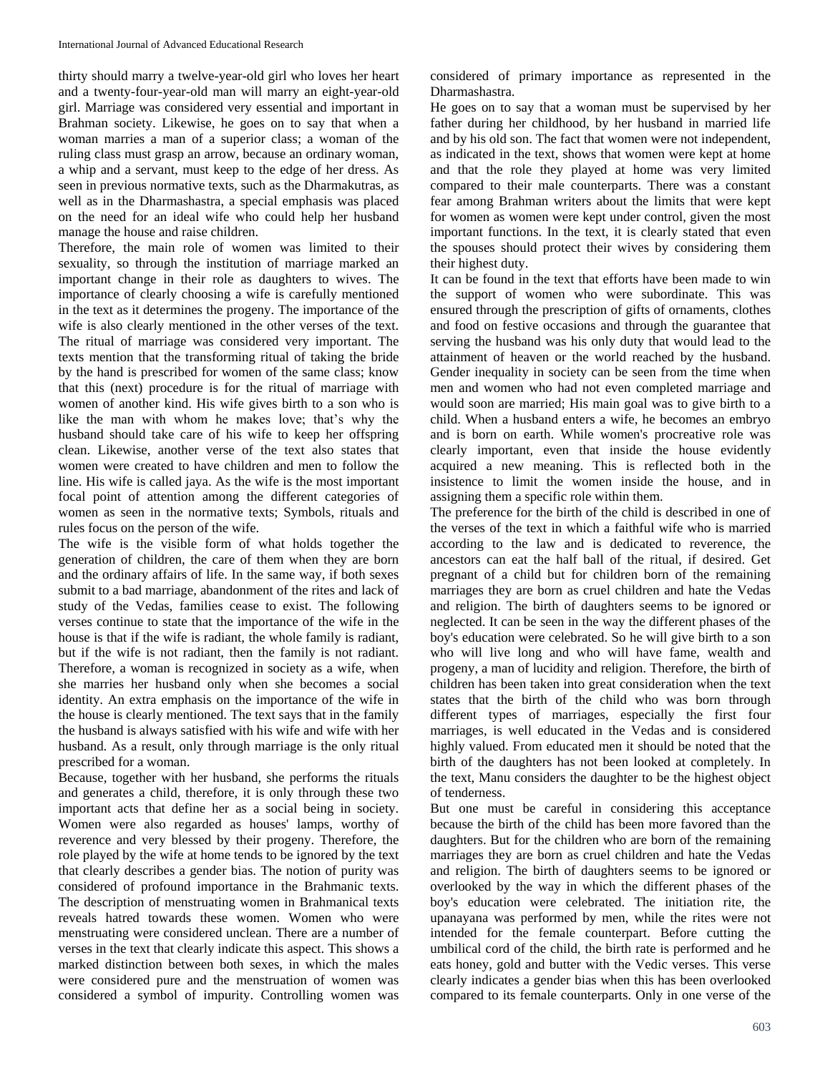thirty should marry a twelve-year-old girl who loves her heart and a twenty-four-year-old man will marry an eight-year-old girl. Marriage was considered very essential and important in Brahman society. Likewise, he goes on to say that when a woman marries a man of a superior class; a woman of the ruling class must grasp an arrow, because an ordinary woman, a whip and a servant, must keep to the edge of her dress. As seen in previous normative texts, such as the Dharmakutras, as well as in the Dharmashastra, a special emphasis was placed on the need for an ideal wife who could help her husband manage the house and raise children.

Therefore, the main role of women was limited to their sexuality, so through the institution of marriage marked an important change in their role as daughters to wives. The importance of clearly choosing a wife is carefully mentioned in the text as it determines the progeny. The importance of the wife is also clearly mentioned in the other verses of the text. The ritual of marriage was considered very important. The texts mention that the transforming ritual of taking the bride by the hand is prescribed for women of the same class; know that this (next) procedure is for the ritual of marriage with women of another kind. His wife gives birth to a son who is like the man with whom he makes love; that's why the husband should take care of his wife to keep her offspring clean. Likewise, another verse of the text also states that women were created to have children and men to follow the line. His wife is called jaya. As the wife is the most important focal point of attention among the different categories of women as seen in the normative texts; Symbols, rituals and rules focus on the person of the wife.

The wife is the visible form of what holds together the generation of children, the care of them when they are born and the ordinary affairs of life. In the same way, if both sexes submit to a bad marriage, abandonment of the rites and lack of study of the Vedas, families cease to exist. The following verses continue to state that the importance of the wife in the house is that if the wife is radiant, the whole family is radiant, but if the wife is not radiant, then the family is not radiant. Therefore, a woman is recognized in society as a wife, when she marries her husband only when she becomes a social identity. An extra emphasis on the importance of the wife in the house is clearly mentioned. The text says that in the family the husband is always satisfied with his wife and wife with her husband. As a result, only through marriage is the only ritual prescribed for a woman.

Because, together with her husband, she performs the rituals and generates a child, therefore, it is only through these two important acts that define her as a social being in society. Women were also regarded as houses' lamps, worthy of reverence and very blessed by their progeny. Therefore, the role played by the wife at home tends to be ignored by the text that clearly describes a gender bias. The notion of purity was considered of profound importance in the Brahmanic texts. The description of menstruating women in Brahmanical texts reveals hatred towards these women. Women who were menstruating were considered unclean. There are a number of verses in the text that clearly indicate this aspect. This shows a marked distinction between both sexes, in which the males were considered pure and the menstruation of women was considered a symbol of impurity. Controlling women was considered of primary importance as represented in the Dharmashastra.

He goes on to say that a woman must be supervised by her father during her childhood, by her husband in married life and by his old son. The fact that women were not independent, as indicated in the text, shows that women were kept at home and that the role they played at home was very limited compared to their male counterparts. There was a constant fear among Brahman writers about the limits that were kept for women as women were kept under control, given the most important functions. In the text, it is clearly stated that even the spouses should protect their wives by considering them their highest duty.

It can be found in the text that efforts have been made to win the support of women who were subordinate. This was ensured through the prescription of gifts of ornaments, clothes and food on festive occasions and through the guarantee that serving the husband was his only duty that would lead to the attainment of heaven or the world reached by the husband. Gender inequality in society can be seen from the time when men and women who had not even completed marriage and would soon are married; His main goal was to give birth to a child. When a husband enters a wife, he becomes an embryo and is born on earth. While women's procreative role was clearly important, even that inside the house evidently acquired a new meaning. This is reflected both in the insistence to limit the women inside the house, and in assigning them a specific role within them.

The preference for the birth of the child is described in one of the verses of the text in which a faithful wife who is married according to the law and is dedicated to reverence, the ancestors can eat the half ball of the ritual, if desired. Get pregnant of a child but for children born of the remaining marriages they are born as cruel children and hate the Vedas and religion. The birth of daughters seems to be ignored or neglected. It can be seen in the way the different phases of the boy's education were celebrated. So he will give birth to a son who will live long and who will have fame, wealth and progeny, a man of lucidity and religion. Therefore, the birth of children has been taken into great consideration when the text states that the birth of the child who was born through different types of marriages, especially the first four marriages, is well educated in the Vedas and is considered highly valued. From educated men it should be noted that the birth of the daughters has not been looked at completely. In the text, Manu considers the daughter to be the highest object of tenderness.

But one must be careful in considering this acceptance because the birth of the child has been more favored than the daughters. But for the children who are born of the remaining marriages they are born as cruel children and hate the Vedas and religion. The birth of daughters seems to be ignored or overlooked by the way in which the different phases of the boy's education were celebrated. The initiation rite, the upanayana was performed by men, while the rites were not intended for the female counterpart. Before cutting the umbilical cord of the child, the birth rate is performed and he eats honey, gold and butter with the Vedic verses. This verse clearly indicates a gender bias when this has been overlooked compared to its female counterparts. Only in one verse of the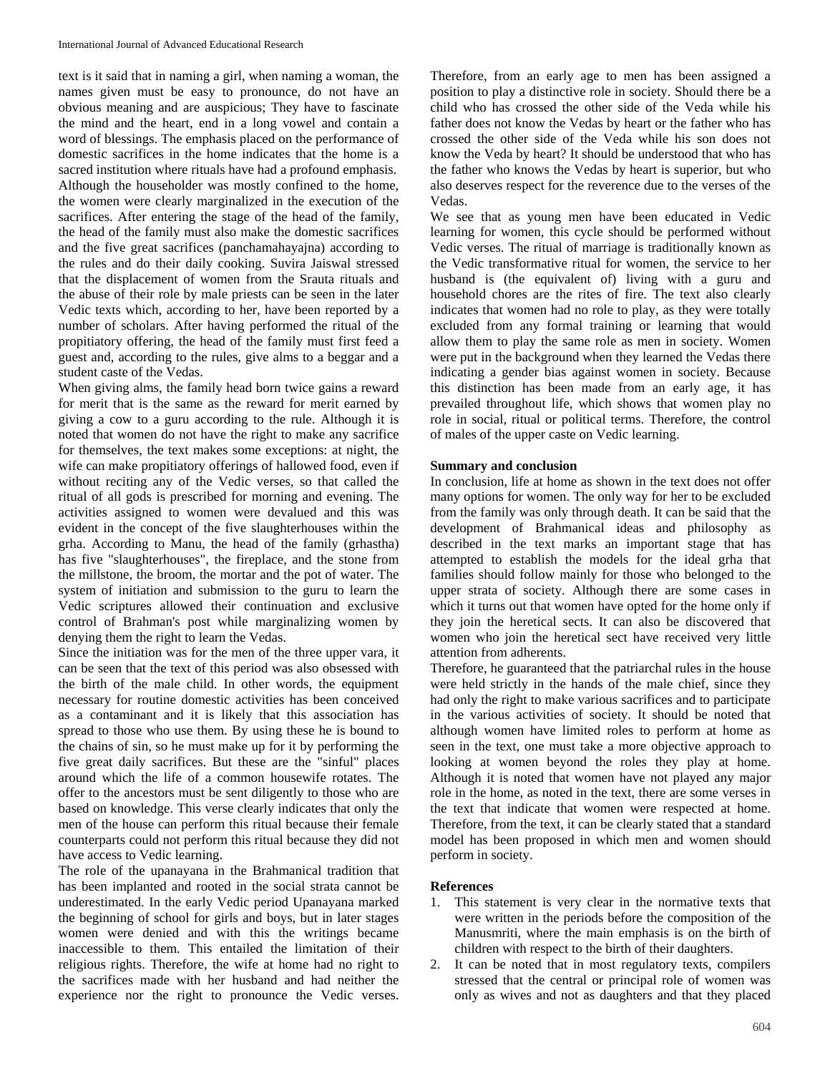text is it said that in naming a girl, when naming a woman, the names given must be easy to pronounce, do not have an obvious meaning and are auspicious; They have to fascinate the mind and the heart, end in a long vowel and contain a word of blessings. The emphasis placed on the performance of domestic sacrifices in the home indicates that the home is a sacred institution where rituals have had a profound emphasis. Although the householder was mostly confined to the home, the women were clearly marginalized in the execution of the sacrifices. After entering the stage of the head of the family, the head of the family must also make the domestic sacrifices and the five great sacrifices (panchamahayajna) according to the rules and do their daily cooking. Suvira Jaiswal stressed that the displacement of women from the Srauta rituals and the abuse of their role by male priests can be seen in the later Vedic texts which, according to her, have been reported by a number of scholars. After having performed the ritual of the propitiatory offering, the head of the family must first feed a guest and, according to the rules, give alms to a beggar and a student caste of the Vedas.

When giving alms, the family head born twice gains a reward for merit that is the same as the reward for merit earned by giving a cow to a guru according to the rule. Although it is noted that women do not have the right to make any sacrifice for themselves, the text makes some exceptions: at night, the wife can make propitiatory offerings of hallowed food, even if without reciting any of the Vedic verses, so that called the ritual of all gods is prescribed for morning and evening. The activities assigned to women were devalued and this was evident in the concept of the five slaughterhouses within the grha. According to Manu, the head of the family (grhastha) has five "slaughterhouses", the fireplace, and the stone from the millstone, the broom, the mortar and the pot of water. The system of initiation and submission to the guru to learn the Vedic scriptures allowed their continuation and exclusive control of Brahman's post while marginalizing women by denying them the right to learn the Vedas.

Since the initiation was for the men of the three upper vara, it can be seen that the text of this period was also obsessed with the birth of the male child. In other words, the equipment necessary for routine domestic activities has been conceived as a contaminant and it is likely that this association has spread to those who use them. By using these he is bound to the chains of sin, so he must make up for it by performing the five great daily sacrifices. But these are the "sinful" places around which the life of a common housewife rotates. The offer to the ancestors must be sent diligently to those who are based on knowledge. This verse clearly indicates that only the men of the house can perform this ritual because their female counterparts could not perform this ritual because they did not have access to Vedic learning.

The role of the upanayana in the Brahmanical tradition that has been implanted and rooted in the social strata cannot be underestimated. In the early Vedic period Upanayana marked the beginning of school for girls and boys, but in later stages women were denied and with this the writings became inaccessible to them. This entailed the limitation of their religious rights. Therefore, the wife at home had no right to the sacrifices made with her husband and had neither the experience nor the right to pronounce the Vedic verses. Therefore, from an early age to men has been assigned a position to play a distinctive role in society. Should there be a child who has crossed the other side of the Veda while his father does not know the Vedas by heart or the father who has crossed the other side of the Veda while his son does not know the Veda by heart? It should be understood that who has the father who knows the Vedas by heart is superior, but who also deserves respect for the reverence due to the verses of the Vedas.

We see that as young men have been educated in Vedic learning for women, this cycle should be performed without Vedic verses. The ritual of marriage is traditionally known as the Vedic transformative ritual for women, the service to her husband is (the equivalent of) living with a guru and household chores are the rites of fire. The text also clearly indicates that women had no role to play, as they were totally excluded from any formal training or learning that would allow them to play the same role as men in society. Women were put in the background when they learned the Vedas there indicating a gender bias against women in society. Because this distinction has been made from an early age, it has prevailed throughout life, which shows that women play no role in social, ritual or political terms. Therefore, the control of males of the upper caste on Vedic learning.

### **Summary and conclusion**

In conclusion, life at home as shown in the text does not offer many options for women. The only way for her to be excluded from the family was only through death. It can be said that the development of Brahmanical ideas and philosophy as described in the text marks an important stage that has attempted to establish the models for the ideal grha that families should follow mainly for those who belonged to the upper strata of society. Although there are some cases in which it turns out that women have opted for the home only if they join the heretical sects. It can also be discovered that women who join the heretical sect have received very little attention from adherents.

Therefore, he guaranteed that the patriarchal rules in the house were held strictly in the hands of the male chief, since they had only the right to make various sacrifices and to participate in the various activities of society. It should be noted that although women have limited roles to perform at home as seen in the text, one must take a more objective approach to looking at women beyond the roles they play at home. Although it is noted that women have not played any major role in the home, as noted in the text, there are some verses in the text that indicate that women were respected at home. Therefore, from the text, it can be clearly stated that a standard model has been proposed in which men and women should perform in society.

### **References**

- 1. This statement is very clear in the normative texts that were written in the periods before the composition of the Manusmriti, where the main emphasis is on the birth of children with respect to the birth of their daughters.
- 2. It can be noted that in most regulatory texts, compilers stressed that the central or principal role of women was only as wives and not as daughters and that they placed